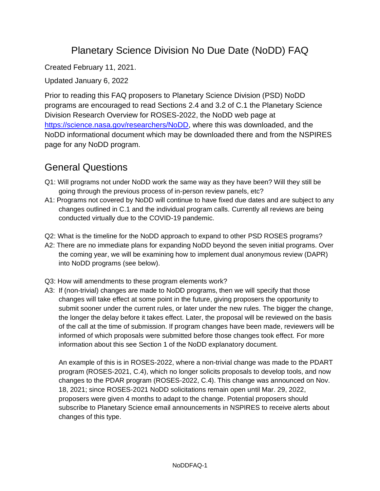## Planetary Science Division No Due Date (NoDD) FAQ

Created February 11, 2021.

Updated January 6, 2022

Prior to reading this FAQ proposers to Planetary Science Division (PSD) NoDD programs are encouraged to read Sections 2.4 and 3.2 of C.1 the Planetary Science Division Research Overview for ROSES-2022, the NoDD web page at [https://science.nasa.gov/researchers/NoDD,](https://science.nasa.gov/researchers/NoDD) where this was downloaded, and the NoDD informational document which may be downloaded there and from the NSPIRES page for any NoDD program.

# General Questions

- Q1: Will programs not under NoDD work the same way as they have been? Will they still be going through the previous process of in-person review panels, etc?
- A1: Programs not covered by NoDD will continue to have fixed due dates and are subject to any changes outlined in C.1 and the individual program calls. Currently all reviews are being conducted virtually due to the COVID-19 pandemic.
- Q2: What is the timeline for the NoDD approach to expand to other PSD ROSES programs?
- A2: There are no immediate plans for expanding NoDD beyond the seven initial programs. Over the coming year, we will be examining how to implement dual anonymous review (DAPR) into NoDD programs (see below).
- Q3: How will amendments to these program elements work?
- A3: If (non-trivial) changes are made to NoDD programs, then we will specify that those changes will take effect at some point in the future, giving proposers the opportunity to submit sooner under the current rules, or later under the new rules. The bigger the change, the longer the delay before it takes effect. Later, the proposal will be reviewed on the basis of the call at the time of submission. If program changes have been made, reviewers will be informed of which proposals were submitted before those changes took effect. For more information about this see Section 1 of the NoDD explanatory document.

An example of this is in ROSES-2022, where a non-trivial change was made to the PDART program (ROSES-2021, C.4), which no longer solicits proposals to develop tools, and now changes to the PDAR program (ROSES-2022, C.4). This change was announced on Nov. 18, 2021; since ROSES-2021 NoDD solicitations remain open until Mar. 29, 2022, proposers were given 4 months to adapt to the change. Potential proposers should subscribe to Planetary Science email announcements in NSPIRES to receive alerts about changes of this type.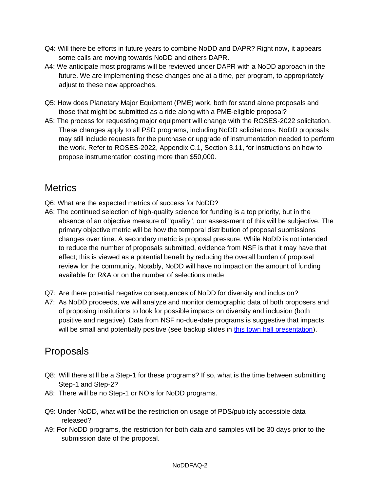- Q4: Will there be efforts in future years to combine NoDD and DAPR? Right now, it appears some calls are moving towards NoDD and others DAPR.
- A4: We anticipate most programs will be reviewed under DAPR with a NoDD approach in the future. We are implementing these changes one at a time, per program, to appropriately adjust to these new approaches.
- Q5: How does Planetary Major Equipment (PME) work, both for stand alone proposals and those that might be submitted as a ride along with a PME-eligible proposal?
- A5: The process for requesting major equipment will change with the ROSES-2022 solicitation. These changes apply to all PSD programs, including NoDD solicitations. NoDD proposals may still include requests for the purchase or upgrade of instrumentation needed to perform the work. Refer to ROSES-2022, Appendix C.1, Section 3.11, for instructions on how to propose instrumentation costing more than \$50,000.

## **Metrics**

- Q6: What are the expected metrics of success for NoDD?
- A6: The continued selection of high-quality science for funding is a top priority, but in the absence of an objective measure of "quality", our assessment of this will be subjective. The primary objective metric will be how the temporal distribution of proposal submissions changes over time. A secondary metric is proposal pressure. While NoDD is not intended to reduce the number of proposals submitted, evidence from NSF is that it may have that effect; this is viewed as a potential benefit by reducing the overall burden of proposal review for the community. Notably, NoDD will have no impact on the amount of funding available for R&A or on the number of selections made
- Q7: Are there potential negative consequences of NoDD for diversity and inclusion?
- A7: As NoDD proceeds, we will analyze and monitor demographic data of both proposers and of proposing institutions to look for possible impacts on diversity and inclusion (both positive and negative). Data from NSF no-due-date programs is suggestive that impacts will be small and potentially positive (see backup slides in [this town hall presentation\)](https://science.nasa.gov/science-pink/s3fs-public/atoms/files/Town_hall-1-21-21_v5.pdf).

#### Proposals

- Q8: Will there still be a Step-1 for these programs? If so, what is the time between submitting Step-1 and Step-2?
- A8: There will be no Step-1 or NOIs for NoDD programs.
- Q9: Under NoDD, what will be the restriction on usage of PDS/publicly accessible data released?
- A9: For NoDD programs, the restriction for both data and samples will be 30 days prior to the submission date of the proposal.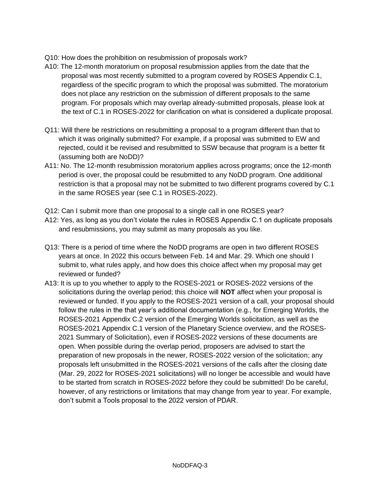- Q10: How does the prohibition on resubmission of proposals work?
- A10: The 12-month moratorium on proposal resubmission applies from the date that the proposal was most recently submitted to a program covered by ROSES Appendix C.1, regardless of the specific program to which the proposal was submitted. The moratorium does not place any restriction on the submission of different proposals to the same program. For proposals which may overlap already-submitted proposals, please look at the text of C.1 in ROSES-2022 for clarification on what is considered a duplicate proposal.
- Q11: Will there be restrictions on resubmitting a proposal to a program different than that to which it was originally submitted? For example, if a proposal was submitted to EW and rejected, could it be revised and resubmitted to SSW because that program is a better fit (assuming both are NoDD)?
- A11: No. The 12-month resubmission moratorium applies across programs; once the 12-month period is over, the proposal could be resubmitted to any NoDD program. One additional restriction is that a proposal may not be submitted to two different programs covered by C.1 in the same ROSES year (see C.1 in ROSES-2022).
- Q12: Can I submit more than one proposal to a single call in one ROSES year?
- A12: Yes, as long as you don't violate the rules in ROSES Appendix C.1 on duplicate proposals and resubmissions, you may submit as many proposals as you like.
- Q13: There is a period of time where the NoDD programs are open in two different ROSES years at once. In 2022 this occurs between Feb. 14 and Mar. 29. Which one should I submit to, what rules apply, and how does this choice affect when my proposal may get reviewed or funded?
- A13: It is up to you whether to apply to the ROSES-2021 or ROSES-2022 versions of the solicitations during the overlap period; this choice will **NOT** affect when your proposal is reviewed or funded. If you apply to the ROSES-2021 version of a call, your proposal should follow the rules in the that year's additional documentation (e.g., for Emerging Worlds, the ROSES-2021 Appendix C.2 version of the Emerging Worlds solicitation, as well as the ROSES-2021 Appendix C.1 version of the Planetary Science overview, and the ROSES-2021 Summary of Solicitation), even if ROSES-2022 versions of these documents are open. When possible during the overlap period, proposers are advised to start the preparation of new proposals in the newer, ROSES-2022 version of the solicitation; any proposals left unsubmitted in the ROSES-2021 versions of the calls after the closing date (Mar. 29, 2022 for ROSES-2021 solicitations) will no longer be accessible and would have to be started from scratch in ROSES-2022 before they could be submitted! Do be careful, however, of any restrictions or limitations that may change from year to year. For example, don't submit a Tools proposal to the 2022 version of PDAR.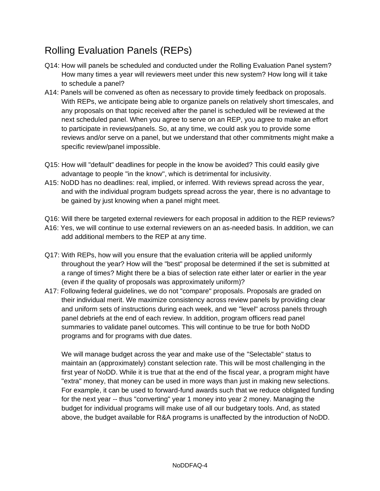# Rolling Evaluation Panels (REPs)

- Q14: How will panels be scheduled and conducted under the Rolling Evaluation Panel system? How many times a year will reviewers meet under this new system? How long will it take to schedule a panel?
- A14: Panels will be convened as often as necessary to provide timely feedback on proposals. With REPs, we anticipate being able to organize panels on relatively short timescales, and any proposals on that topic received after the panel is scheduled will be reviewed at the next scheduled panel. When you agree to serve on an REP, you agree to make an effort to participate in reviews/panels. So, at any time, we could ask you to provide some reviews and/or serve on a panel, but we understand that other commitments might make a specific review/panel impossible.
- Q15: How will "default" deadlines for people in the know be avoided? This could easily give advantage to people "in the know", which is detrimental for inclusivity.
- A15: NoDD has no deadlines: real, implied, or inferred. With reviews spread across the year, and with the individual program budgets spread across the year, there is no advantage to be gained by just knowing when a panel might meet.
- Q16: Will there be targeted external reviewers for each proposal in addition to the REP reviews?
- A16: Yes, we will continue to use external reviewers on an as-needed basis. In addition, we can add additional members to the REP at any time.
- Q17: With REPs, how will you ensure that the evaluation criteria will be applied uniformly throughout the year? How will the "best" proposal be determined if the set is submitted at a range of times? Might there be a bias of selection rate either later or earlier in the year (even if the quality of proposals was approximately uniform)?
- A17: Following federal guidelines, we do not "compare" proposals. Proposals are graded on their individual merit. We maximize consistency across review panels by providing clear and uniform sets of instructions during each week, and we "level" across panels through panel debriefs at the end of each review. In addition, program officers read panel summaries to validate panel outcomes. This will continue to be true for both NoDD programs and for programs with due dates.

We will manage budget across the year and make use of the "Selectable" status to maintain an (approximately) constant selection rate. This will be most challenging in the first year of NoDD. While it is true that at the end of the fiscal year, a program might have "extra" money, that money can be used in more ways than just in making new selections. For example, it can be used to forward-fund awards such that we reduce obligated funding for the next year -- thus "converting" year 1 money into year 2 money. Managing the budget for individual programs will make use of all our budgetary tools. And, as stated above, the budget available for R&A programs is unaffected by the introduction of NoDD.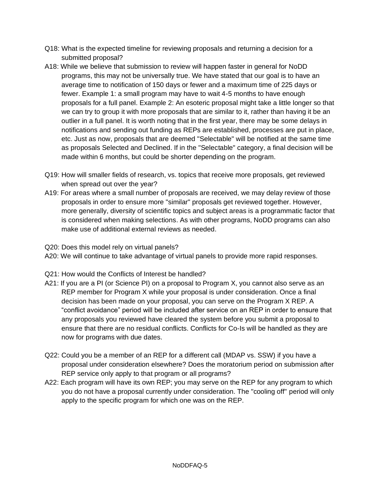- Q18: What is the expected timeline for reviewing proposals and returning a decision for a submitted proposal?
- A18: While we believe that submission to review will happen faster in general for NoDD programs, this may not be universally true. We have stated that our goal is to have an average time to notification of 150 days or fewer and a maximum time of 225 days or fewer. Example 1: a small program may have to wait 4-5 months to have enough proposals for a full panel. Example 2: An esoteric proposal might take a little longer so that we can try to group it with more proposals that are similar to it, rather than having it be an outlier in a full panel. It is worth noting that in the first year, there may be some delays in notifications and sending out funding as REPs are established, processes are put in place, etc. Just as now, proposals that are deemed "Selectable" will be notified at the same time as proposals Selected and Declined. If in the "Selectable" category, a final decision will be made within 6 months, but could be shorter depending on the program.
- Q19: How will smaller fields of research, vs. topics that receive more proposals, get reviewed when spread out over the year?
- A19: For areas where a small number of proposals are received, we may delay review of those proposals in order to ensure more "similar" proposals get reviewed together. However, more generally, diversity of scientific topics and subject areas is a programmatic factor that is considered when making selections. As with other programs, NoDD programs can also make use of additional external reviews as needed.
- Q20: Does this model rely on virtual panels?
- A20: We will continue to take advantage of virtual panels to provide more rapid responses.
- Q21: How would the Conflicts of Interest be handled?
- A21: If you are a PI (or Science PI) on a proposal to Program X, you cannot also serve as an REP member for Program X while your proposal is under consideration. Once a final decision has been made on your proposal, you can serve on the Program X REP. A "conflict avoidance" period will be included after service on an REP in order to ensure that any proposals you reviewed have cleared the system before you submit a proposal to ensure that there are no residual conflicts. Conflicts for Co-Is will be handled as they are now for programs with due dates.
- Q22: Could you be a member of an REP for a different call (MDAP vs. SSW) if you have a proposal under consideration elsewhere? Does the moratorium period on submission after REP service only apply to that program or all programs?
- A22: Each program will have its own REP; you may serve on the REP for any program to which you do not have a proposal currently under consideration. The "cooling off" period will only apply to the specific program for which one was on the REP.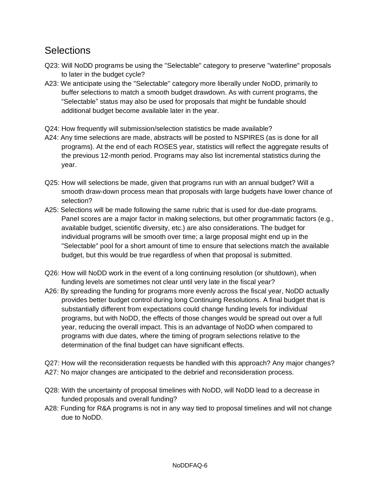### **Selections**

- Q23: Will NoDD programs be using the "Selectable" category to preserve "waterline" proposals to later in the budget cycle?
- A23: We anticipate using the "Selectable" category more liberally under NoDD, primarily to buffer selections to match a smooth budget drawdown. As with current programs, the "Selectable" status may also be used for proposals that might be fundable should additional budget become available later in the year.
- Q24: How frequently will submission/selection statistics be made available?
- A24: Any time selections are made, abstracts will be posted to NSPIRES (as is done for all programs). At the end of each ROSES year, statistics will reflect the aggregate results of the previous 12-month period. Programs may also list incremental statistics during the year.
- Q25: How will selections be made, given that programs run with an annual budget? Will a smooth draw-down process mean that proposals with large budgets have lower chance of selection?
- A25: Selections will be made following the same rubric that is used for due-date programs. Panel scores are a major factor in making selections, but other programmatic factors (e.g., available budget, scientific diversity, etc.) are also considerations. The budget for individual programs will be smooth over time; a large proposal might end up in the "Selectable" pool for a short amount of time to ensure that selections match the available budget, but this would be true regardless of when that proposal is submitted.
- Q26: How will NoDD work in the event of a long continuing resolution (or shutdown), when funding levels are sometimes not clear until very late in the fiscal year?
- A26: By spreading the funding for programs more evenly across the fiscal year, NoDD actually provides better budget control during long Continuing Resolutions. A final budget that is substantially different from expectations could change funding levels for individual programs, but with NoDD, the effects of those changes would be spread out over a full year, reducing the overall impact. This is an advantage of NoDD when compared to programs with due dates, where the timing of program selections relative to the determination of the final budget can have significant effects.

Q27: How will the reconsideration requests be handled with this approach? Any major changes? A27: No major changes are anticipated to the debrief and reconsideration process.

- Q28: With the uncertainty of proposal timelines with NoDD, will NoDD lead to a decrease in funded proposals and overall funding?
- A28: Funding for R&A programs is not in any way tied to proposal timelines and will not change due to NoDD.